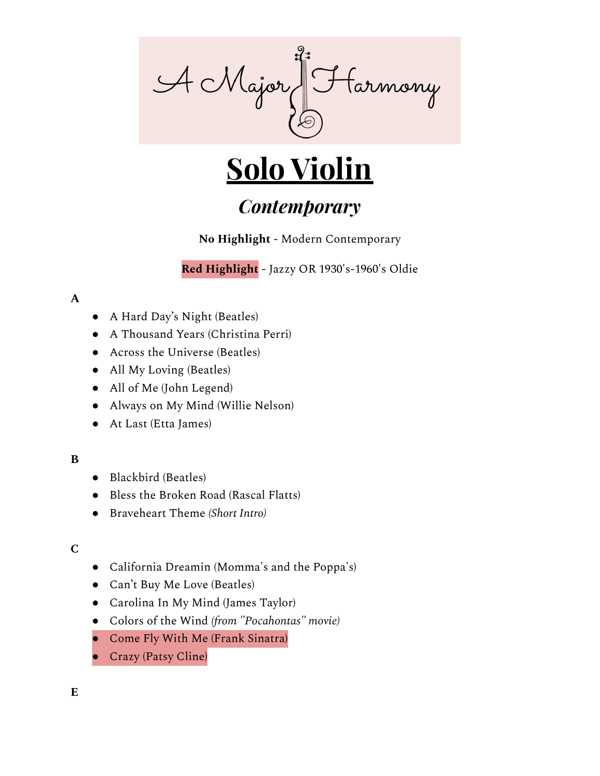

# **Solo Violin**

# *Contemporary*

**No Highlight** - Modern Contemporary

**Red Highlight** - Jazzy OR 1930's-1960's Oldie

### **A**

- A Hard Day's Night (Beatles)
- A Thousand Years (Christina Perri)
- Across the Universe (Beatles)
- All My Loving (Beatles)
- All of Me (John Legend)
- Always on My Mind (Willie Nelson)
- At Last (Etta James)

# **B**

- Blackbird (Beatles)
- Bless the Broken Road (Rascal Flatts)
- Braveheart Theme *(Short Intro)*

# **C**

- California Dreamin (Momma's and the Poppa's)
- Can't Buy Me Love (Beatles)
- Carolina In My Mind (James Taylor)
- Colors of the Wind *(from "Pocahontas" movie)*
- Come Fly With Me (Frank Sinatra)
- Crazy (Patsy Cline)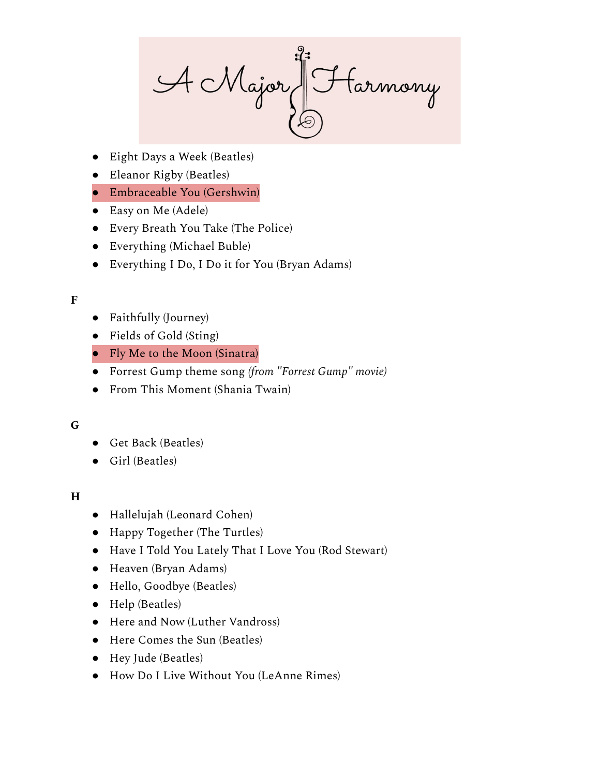A Major J Farmony

- Eight Days a Week (Beatles)
- Eleanor Rigby (Beatles)

# ● Embraceable You (Gershwin)

- Easy on Me (Adele)
- Every Breath You Take (The Police)
- Everything (Michael Buble)
- Everything I Do, I Do it for You (Bryan Adams)

### **F**

- Faithfully (Journey)
- Fields of Gold (Sting)
- Fly Me to the Moon (Sinatra)
- Forrest Gump theme song *(from "Forrest Gump" movie)*
- From This Moment (Shania Twain)

#### **G**

- Get Back (Beatles)
- Girl (Beatles)

# **H**

- Hallelujah (Leonard Cohen)
- Happy Together (The Turtles)
- Have I Told You Lately That I Love You (Rod Stewart)
- Heaven (Bryan Adams)
- Hello, Goodbye (Beatles)
- Help (Beatles)
- Here and Now (Luther Vandross)
- Here Comes the Sun (Beatles)
- Hey Jude (Beatles)
- How Do I Live Without You (LeAnne Rimes)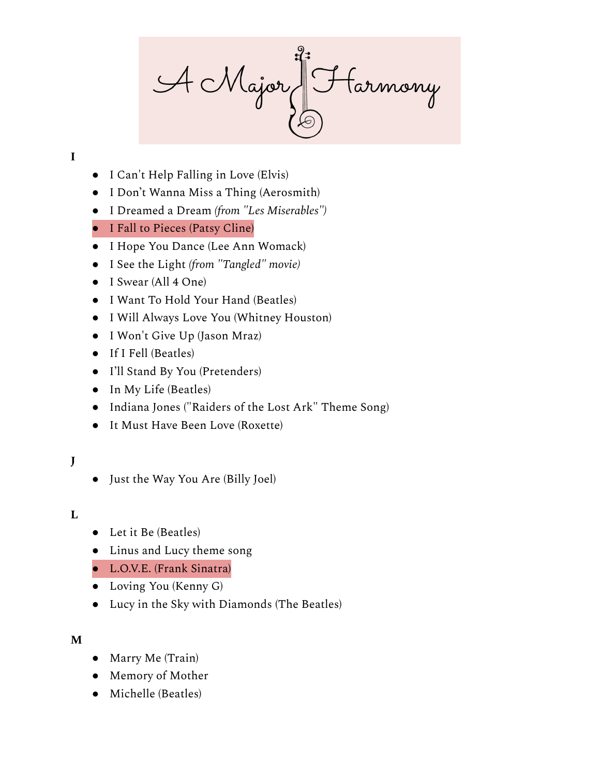A Major Harmony

# **I**

- I Can't Help Falling in Love (Elvis)
- I Don't Wanna Miss a Thing (Aerosmith)
- I Dreamed a Dream *(from "Les Miserables")*
- I Fall to Pieces (Patsy Cline)
- I Hope You Dance (Lee Ann Womack)
- I See the Light *(from "Tangled" movie)*
- I Swear (All 4 One)
- I Want To Hold Your Hand (Beatles)
- I Will Always Love You (Whitney Houston)
- I Won't Give Up (Jason Mraz)
- If I Fell (Beatles)
- I'll Stand By You (Pretenders)
- In My Life (Beatles)
- Indiana Jones ("Raiders of the Lost Ark" Theme Song)
- It Must Have Been Love (Roxette)

# **J**

● Just the Way You Are (Billy Joel)

#### **L**

- Let it Be (Beatles)
- Linus and Lucy theme song
- L.O.V.E. (Frank Sinatra)
- Loving You (Kenny G)
- Lucy in the Sky with Diamonds (The Beatles)

#### **M**

- Marry Me (Train)
- Memory of Mother
- Michelle (Beatles)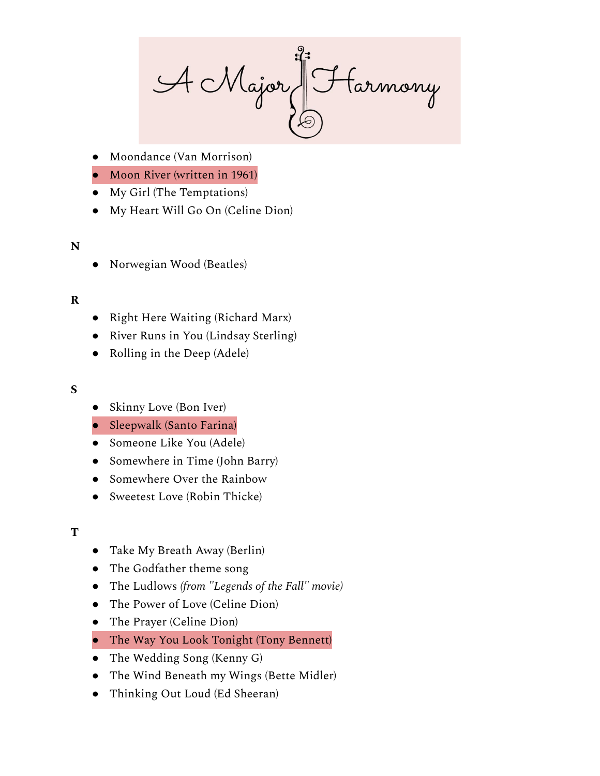A Major Harmony

- Moondance (Van Morrison)
- Moon River (written in 1961)
- My Girl (The Temptations)
- My Heart Will Go On (Celine Dion)

#### **N**

Norwegian Wood (Beatles)

### **R**

- Right Here Waiting (Richard Marx)
- River Runs in You (Lindsay Sterling)
- Rolling in the Deep (Adele)

#### **S**

- Skinny Love (Bon Iver)
- Sleepwalk (Santo Farina)
- Someone Like You (Adele)
- Somewhere in Time (John Barry)
- Somewhere Over the Rainbow
- Sweetest Love (Robin Thicke)

#### **T**

- Take My Breath Away (Berlin)
- The Godfather theme song
- The Ludlows *(from "Legends of the Fall" movie)*
- The Power of Love (Celine Dion)
- The Prayer (Celine Dion)
- The Way You Look Tonight (Tony Bennett)
- The Wedding Song (Kenny G)
- The Wind Beneath my Wings (Bette Midler)
- Thinking Out Loud (Ed Sheeran)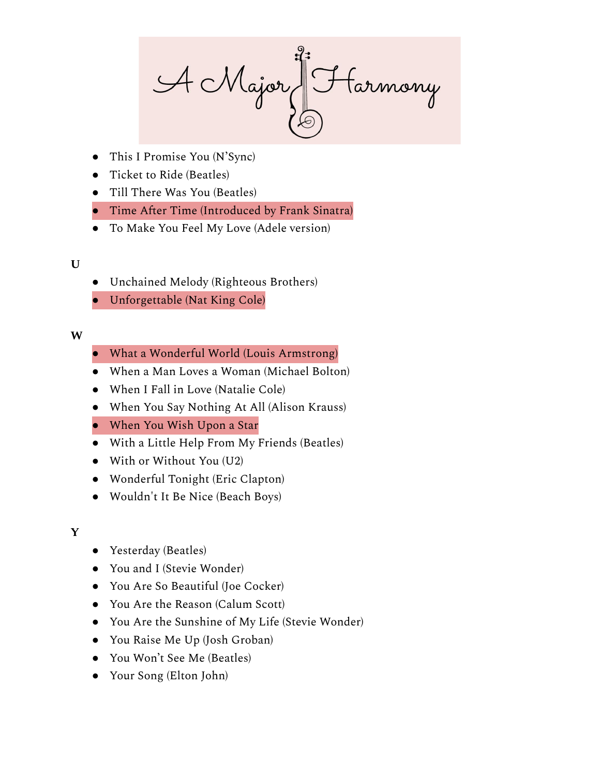A Major J Farmony

- This I Promise You (N'Sync)
- Ticket to Ride (Beatles)
- Till There Was You (Beatles)
- Time After Time (Introduced by Frank Sinatra)
- To Make You Feel My Love (Adele version)

### **U**

- Unchained Melody (Righteous Brothers)
- Unforgettable (Nat King Cole)

### **W**

- What a Wonderful World (Louis Armstrong)
- When a Man Loves a Woman (Michael Bolton)
- When I Fall in Love (Natalie Cole)
- When You Say Nothing At All (Alison Krauss)
- When You Wish Upon a Star
- With a Little Help From My Friends (Beatles)
- With or Without You (U2)
- Wonderful Tonight (Eric Clapton)
- Wouldn't It Be Nice (Beach Boys)

#### **Y**

- Yesterday (Beatles)
- You and I (Stevie Wonder)
- You Are So Beautiful (Joe Cocker)
- You Are the Reason (Calum Scott)
- You Are the Sunshine of My Life (Stevie Wonder)
- You Raise Me Up (Josh Groban)
- You Won't See Me (Beatles)
- Your Song (Elton John)